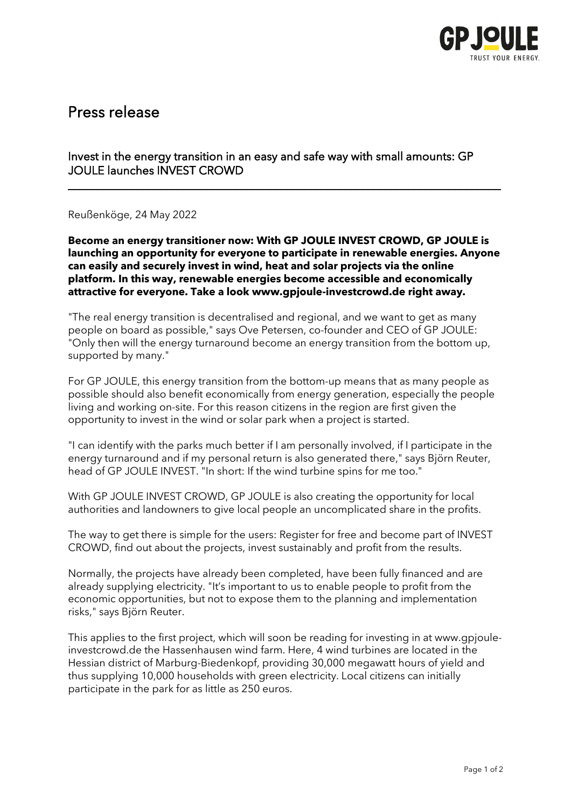

# Press release

## Invest in the energy transition in an easy and safe way with small amounts: GP JOULE launches INVEST CROWD

Reußenköge, 24 May 2022

**Become an energy transitioner now: With GP JOULE INVEST CROWD, GP JOULE is launching an opportunity for everyone to participate in renewable energies. Anyone can easily and securely invest in wind, heat and solar projects via the online platform. In this way, renewable energies become accessible and economically attractive for everyone. Take a look www.gpjoule-investcrowd.de right away.** 

\_\_\_\_\_\_\_\_\_\_\_\_\_\_\_\_\_\_\_\_\_\_\_\_\_\_\_\_\_\_\_\_\_\_\_\_\_\_\_\_\_\_\_\_\_\_\_\_\_\_\_\_\_\_\_\_\_\_\_\_\_\_\_\_\_\_\_\_\_\_\_\_\_\_\_

"The real energy transition is decentralised and regional, and we want to get as many people on board as possible," says Ove Petersen, co-founder and CEO of GP JOULE: "Only then will the energy turnaround become an energy transition from the bottom up, supported by many."

For GP JOULE, this energy transition from the bottom-up means that as many people as possible should also benefit economically from energy generation, especially the people living and working on-site. For this reason citizens in the region are first given the opportunity to invest in the wind or solar park when a project is started.

"I can identify with the parks much better if I am personally involved, if I participate in the energy turnaround and if my personal return is also generated there," says Björn Reuter, head of GP JOULE INVEST. "In short: If the wind turbine spins for me too."

With GP JOULE INVEST CROWD, GP JOULE is also creating the opportunity for local authorities and landowners to give local people an uncomplicated share in the profits.

The way to get there is simple for the users: Register for free and become part of INVEST CROWD, find out about the projects, invest sustainably and profit from the results.

Normally, the projects have already been completed, have been fully financed and are already supplying electricity. "It's important to us to enable people to profit from the economic opportunities, but not to expose them to the planning and implementation risks," says Björn Reuter.

This applies to the first project, which will soon be reading for investing in at [www.gpjoule](http://www.gpjoule-invest-crowd.de/)[investcrowd.de](http://www.gpjoule-invest-crowd.de/) the Hassenhausen wind farm. Here, 4 wind turbines are located in the Hessian district of Marburg-Biedenkopf, providing 30,000 megawatt hours of yield and thus supplying 10,000 households with green electricity. Local citizens can initially participate in the park for as little as 250 euros.